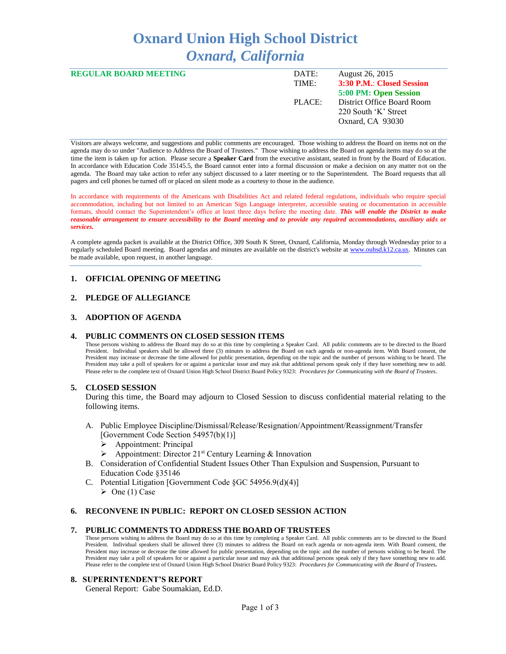# **Oxnard Union High School District** *Oxnard, California*

| <b>REGULAR BOARD MEETING</b> | DATE:  | August 26, 2015            |
|------------------------------|--------|----------------------------|
|                              | TIME:  | 3:30 P.M.: Closed Session  |
|                              |        | 5:00 PM: Open Session      |
|                              | PLACE: | District Office Board Room |
|                              |        | 220 South 'K' Street       |
|                              |        | Oxnard, CA 93030           |
|                              |        |                            |

Visitors are always welcome, and suggestions and public comments are encouraged. Those wishing to address the Board on items not on the agenda may do so under "Audience to Address the Board of Trustees." Those wishing to address the Board on agenda items may do so at the time the item is taken up for action. Please secure a **Speaker Card** from the executive assistant, seated in front by the Board of Education. In accordance with Education Code 35145.5, the Board cannot enter into a formal discussion or make a decision on any matter not on the agenda. The Board may take action to refer any subject discussed to a later meeting or to the Superintendent. The Board requests that all pagers and cell phones be turned off or placed on silent mode as a courtesy to those in the audience.

In accordance with requirements of the Americans with Disabilities Act and related federal regulations, individuals who require special accommodation, including but not limited to an American Sign Language interpreter, accessible seating or documentation in accessible formats, should contact the Superintendent's office at least three days before the meeting date. *This will enable the District to make reasonable arrangement to ensure accessibility to the Board meeting and to provide any required accommodations, auxiliary aids or services.* 

A complete agenda packet is available at the District Office, 309 South K Street, Oxnard, California, Monday through Wednesday prior to a regularly scheduled Board meeting. Board agendas and minutes are available on the district's website a[t www.ouhsd.k12.ca.us.](http://www.ouhsd.k12.ca.us/)Minutes can be made available, upon request, in another language.

## **1. OFFICIAL OPENING OF MEETING**

#### **2. PLEDGE OF ALLEGIANCE**

#### **3. ADOPTION OF AGENDA**

#### **4. PUBLIC COMMENTS ON CLOSED SESSION ITEMS**

Those persons wishing to address the Board may do so at this time by completing a Speaker Card. All public comments are to be directed to the Board President. Individual speakers shall be allowed three (3) minutes to address the Board on each agenda or non-agenda item. With Board consent, the President may increase or decrease the time allowed for public presentation, depending on the topic and the number of persons wishing to be heard. The President may take a poll of speakers for or against a particular issue and may ask that additional persons speak only if they have something new to add. Please refer to the complete text of Oxnard Union High School District Board Policy 9323: *Procedures for Communicating with the Board of Trustees*.

#### **5. CLOSED SESSION**

During this time, the Board may adjourn to Closed Session to discuss confidential material relating to the following items.

- A. Public Employee Discipline/Dismissal/Release/Resignation/Appointment/Reassignment/Transfer [Government Code Section 54957(b)(1)]
	- Appointment: Principal
	- Appointment: Director 21st Century Learning & Innovation
- B. Consideration of Confidential Student Issues Other Than Expulsion and Suspension, Pursuant to Education Code §35146
- C. Potential Litigation [Government Code §GC 54956.9(d)(4)]  $\triangleright$  One (1) Case

## **6. RECONVENE IN PUBLIC: REPORT ON CLOSED SESSION ACTION**

#### **7. PUBLIC COMMENTS TO ADDRESS THE BOARD OF TRUSTEES**

Those persons wishing to address the Board may do so at this time by completing a Speaker Card. All public comments are to be directed to the Board President. Individual speakers shall be allowed three (3) minutes to address the Board on each agenda or non-agenda item. With Board consent, the President may increase or decrease the time allowed for public presentation, depending on the topic and the number of persons wishing to be heard. The President may take a poll of speakers for or against a particular issue and may ask that additional persons speak only if they have something new to add. Please refer to the complete text of Oxnard Union High School District Board Policy 9323: *Procedures for Communicating with the Board of Trustees.*

#### **8. SUPERINTENDENT'S REPORT**

General Report: Gabe Soumakian, Ed.D.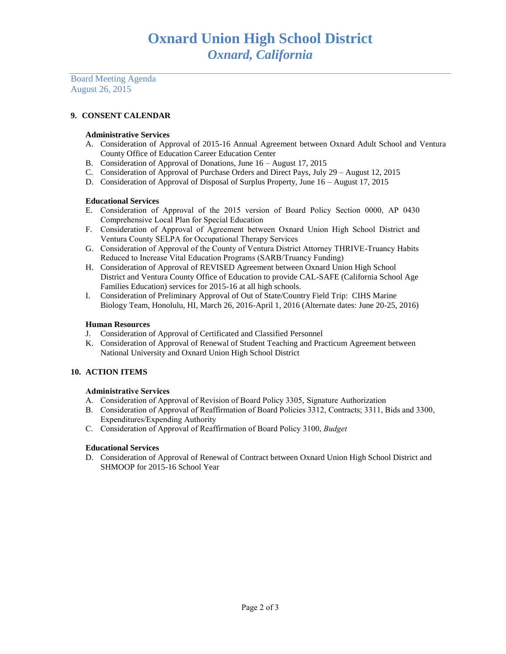Board Meeting Agenda August 26, 2015

# **9. CONSENT CALENDAR**

## **Administrative Services**

- A. Consideration of Approval of 2015-16 Annual Agreement between Oxnard Adult School and Ventura County Office of Education Career Education Center
- B. Consideration of Approval of Donations, June 16 August 17, 2015
- C. Consideration of Approval of Purchase Orders and Direct Pays, July 29 August 12, 2015
- D. Consideration of Approval of Disposal of Surplus Property, June 16 August 17, 2015

## **Educational Services**

- E. Consideration of Approval of the 2015 version of Board Policy Section 0000, AP 0430 Comprehensive Local Plan for Special Education
- F. Consideration of Approval of Agreement between Oxnard Union High School District and Ventura County SELPA for Occupational Therapy Services
- G. Consideration of Approval of the County of Ventura District Attorney THRIVE-Truancy Habits Reduced to Increase Vital Education Programs (SARB/Truancy Funding)
- H. Consideration of Approval of REVISED Agreement between Oxnard Union High School District and Ventura County Office of Education to provide CAL-SAFE (California School Age Families Education) services for 2015-16 at all high schools.
- I. Consideration of Preliminary Approval of Out of State/Country Field Trip: CIHS Marine Biology Team, Honolulu, HI, March 26, 2016-April 1, 2016 (Alternate dates: June 20-25, 2016)

## **Human Resources**

- J. Consideration of Approval of Certificated and Classified Personnel
- K. Consideration of Approval of Renewal of Student Teaching and Practicum Agreement between National University and Oxnard Union High School District

# **10. ACTION ITEMS**

## **Administrative Services**

- A. Consideration of Approval of Revision of Board Policy 3305, Signature Authorization
- B. Consideration of Approval of Reaffirmation of Board Policies 3312, Contracts; 3311, Bids and 3300, Expenditures/Expending Authority
- C. Consideration of Approval of Reaffirmation of Board Policy 3100, *Budget*

## **Educational Services**

D. Consideration of Approval of Renewal of Contract between Oxnard Union High School District and SHMOOP for 2015-16 School Year